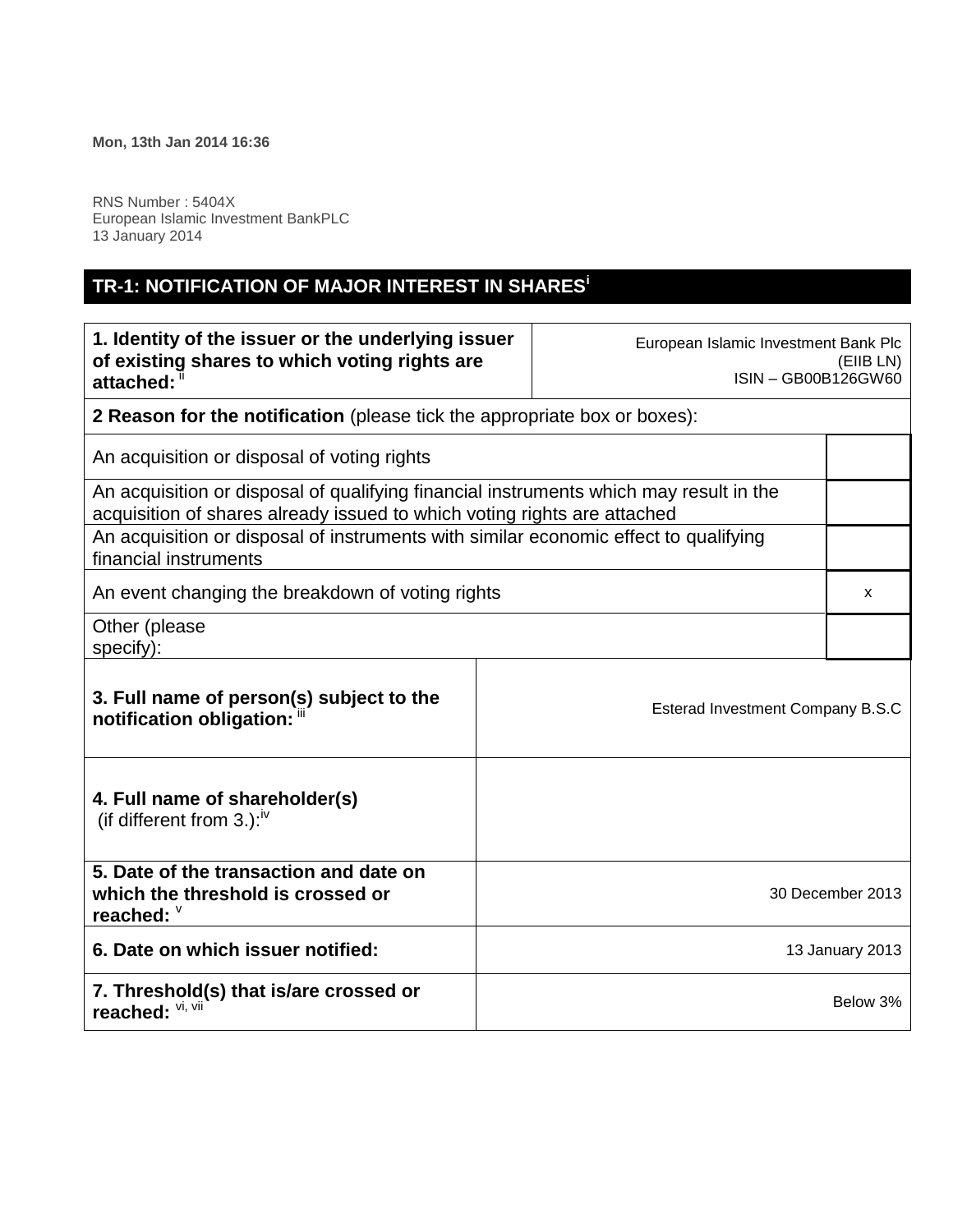r

RNS Number : 5404X European Islamic Investment BankPLC 13 January 2014

## **TR-1: NOTIFICATION OF MAJOR INTEREST IN SHARES<sup>i</sup>**

| 1. Identity of the issuer or the underlying issuer<br>of existing shares to which voting rights are<br>attached:                                                   |  | European Islamic Investment Bank Plc<br>ISIN - GB00B126GW60 | (EIIB LN)        |
|--------------------------------------------------------------------------------------------------------------------------------------------------------------------|--|-------------------------------------------------------------|------------------|
| <b>2 Reason for the notification</b> (please tick the appropriate box or boxes):                                                                                   |  |                                                             |                  |
| An acquisition or disposal of voting rights                                                                                                                        |  |                                                             |                  |
| An acquisition or disposal of qualifying financial instruments which may result in the<br>acquisition of shares already issued to which voting rights are attached |  |                                                             |                  |
| An acquisition or disposal of instruments with similar economic effect to qualifying<br>financial instruments                                                      |  |                                                             |                  |
| An event changing the breakdown of voting rights                                                                                                                   |  |                                                             | x                |
| Other (please<br>specify):                                                                                                                                         |  |                                                             |                  |
| 3. Full name of person(s) subject to the<br>notification obligation: "                                                                                             |  | Esterad Investment Company B.S.C                            |                  |
| 4. Full name of shareholder(s)<br>(if different from 3.): <sup>iv</sup>                                                                                            |  |                                                             |                  |
| 5. Date of the transaction and date on<br>which the threshold is crossed or<br>reached: $\degree$                                                                  |  |                                                             | 30 December 2013 |
| 6. Date on which issuer notified:                                                                                                                                  |  |                                                             | 13 January 2013  |
| 7. Threshold(s) that is/are crossed or<br>reached: Vi, Vii                                                                                                         |  |                                                             | Below 3%         |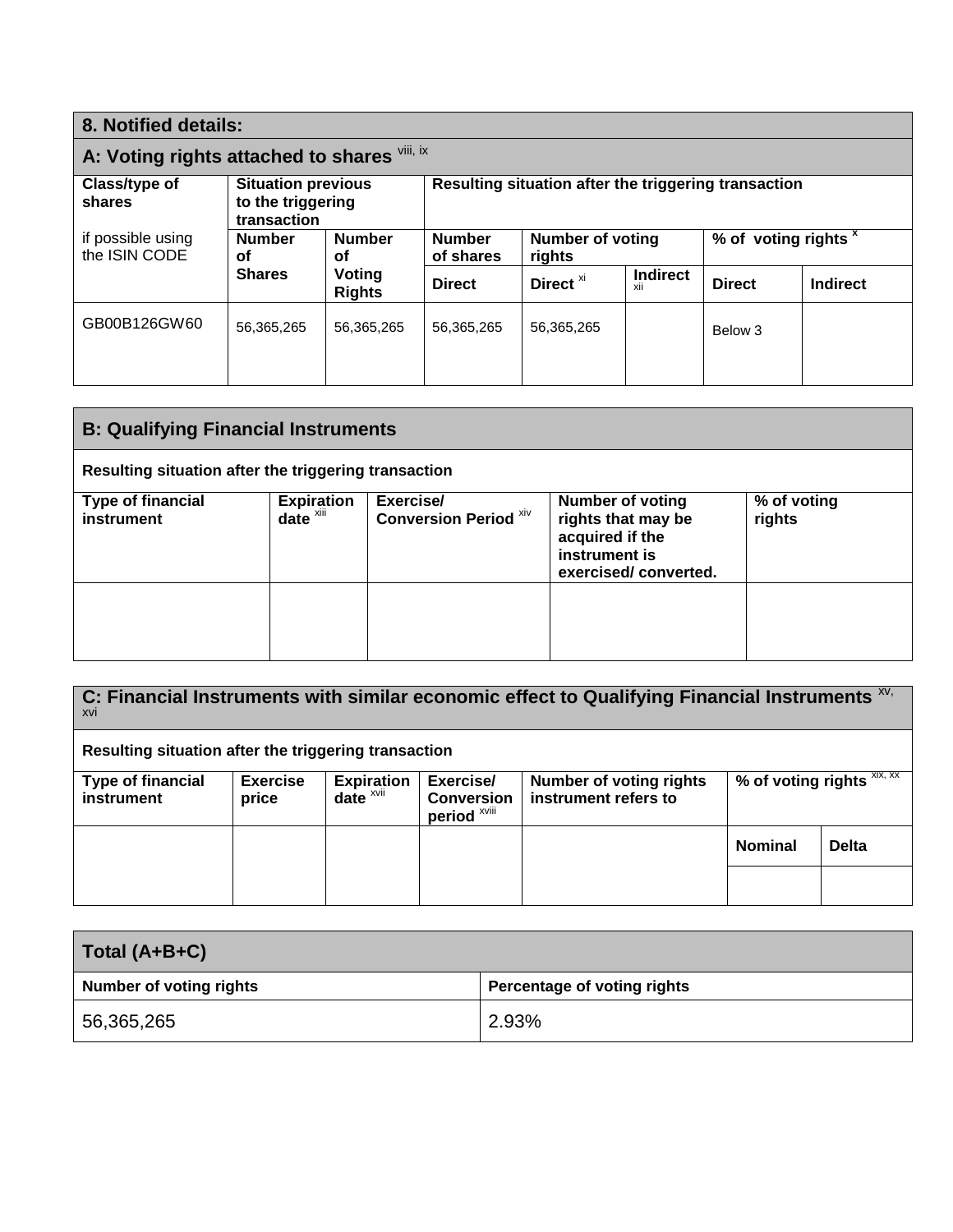| 8. Notified details:                                                                     |                         |                                                      |                            |                        |                                 |                 |
|------------------------------------------------------------------------------------------|-------------------------|------------------------------------------------------|----------------------------|------------------------|---------------------------------|-----------------|
| A: Voting rights attached to shares Vili, ix                                             |                         |                                                      |                            |                        |                                 |                 |
| Class/type of<br><b>Situation previous</b><br>to the triggering<br>shares<br>transaction |                         | Resulting situation after the triggering transaction |                            |                        |                                 |                 |
| <b>Number</b><br>οf                                                                      | <b>Number</b><br>οf     | <b>Number</b><br>of shares                           | Number of voting<br>rights |                        | % of voting rights <sup>x</sup> |                 |
| <b>Shares</b>                                                                            | Voting<br><b>Rights</b> | <b>Direct</b>                                        | Direct <sup>xi</sup>       | <b>Indirect</b><br>XII | <b>Direct</b>                   | <b>Indirect</b> |
| 56,365,265                                                                               | 56,365,265              | 56,365,265                                           | 56,365,265                 |                        | Below 3                         |                 |
|                                                                                          |                         |                                                      |                            |                        |                                 |                 |

| <b>B: Qualifying Financial Instruments</b>           |                               |                                           |                                                                                                           |                       |
|------------------------------------------------------|-------------------------------|-------------------------------------------|-----------------------------------------------------------------------------------------------------------|-----------------------|
| Resulting situation after the triggering transaction |                               |                                           |                                                                                                           |                       |
| <b>Type of financial</b><br>instrument               | <b>Expiration</b><br>date $x$ | Exercise/<br><b>Conversion Period Xiv</b> | <b>Number of voting</b><br>rights that may be<br>acquired if the<br>instrument is<br>exercised/converted. | % of voting<br>rights |
|                                                      |                               |                                           |                                                                                                           |                       |

| C: Financial Instruments with similar economic effect to Qualifying Financial Instruments $\frac{x}{y}$<br>XVI |                          |                                 |                                                |                                                        |                                  |              |
|----------------------------------------------------------------------------------------------------------------|--------------------------|---------------------------------|------------------------------------------------|--------------------------------------------------------|----------------------------------|--------------|
| Resulting situation after the triggering transaction                                                           |                          |                                 |                                                |                                                        |                                  |              |
| <b>Type of financial</b><br>instrument                                                                         | <b>Exercise</b><br>price | <b>Expiration</b><br>date $xvi$ | Exercise/<br><b>Conversion</b><br>period XViii | <b>Number of voting rights</b><br>instrument refers to | % of voting rights $\frac{X}{X}$ |              |
|                                                                                                                |                          |                                 |                                                |                                                        | <b>Nominal</b>                   | <b>Delta</b> |
|                                                                                                                |                          |                                 |                                                |                                                        |                                  |              |

| Total (A+B+C)                  |                             |  |
|--------------------------------|-----------------------------|--|
| <b>Number of voting rights</b> | Percentage of voting rights |  |
| 56,365,265                     | 2.93%                       |  |